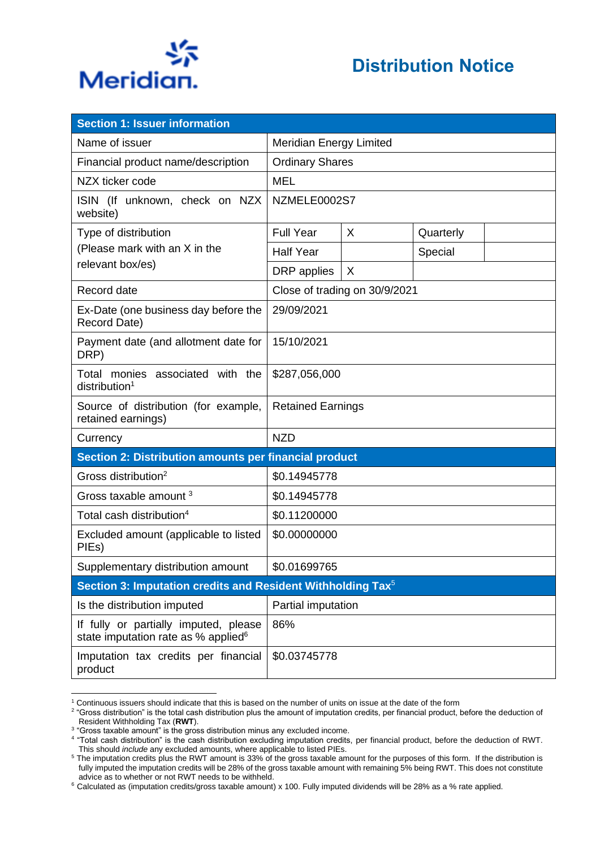

| <b>Section 1: Issuer information</b>                                                     |                                |   |           |  |  |  |
|------------------------------------------------------------------------------------------|--------------------------------|---|-----------|--|--|--|
| Name of issuer                                                                           | <b>Meridian Energy Limited</b> |   |           |  |  |  |
| Financial product name/description                                                       | <b>Ordinary Shares</b>         |   |           |  |  |  |
| NZX ticker code                                                                          | <b>MEL</b>                     |   |           |  |  |  |
| ISIN (If unknown, check on NZX<br>website)                                               | NZMELE0002S7                   |   |           |  |  |  |
| Type of distribution                                                                     | <b>Full Year</b>               | X | Quarterly |  |  |  |
| (Please mark with an X in the                                                            | <b>Half Year</b>               |   | Special   |  |  |  |
| relevant box/es)                                                                         | DRP applies                    | X |           |  |  |  |
| Record date                                                                              | Close of trading on 30/9/2021  |   |           |  |  |  |
| Ex-Date (one business day before the<br>Record Date)                                     | 29/09/2021                     |   |           |  |  |  |
| Payment date (and allotment date for<br>DRP)                                             | 15/10/2021                     |   |           |  |  |  |
| Total monies associated with the<br>distribution <sup>1</sup>                            | \$287,056,000                  |   |           |  |  |  |
| Source of distribution (for example,<br>retained earnings)                               | <b>Retained Earnings</b>       |   |           |  |  |  |
| Currency                                                                                 | <b>NZD</b>                     |   |           |  |  |  |
| Section 2: Distribution amounts per financial product                                    |                                |   |           |  |  |  |
| Gross distribution <sup>2</sup>                                                          | \$0.14945778                   |   |           |  |  |  |
| Gross taxable amount <sup>3</sup>                                                        | \$0.14945778                   |   |           |  |  |  |
| Total cash distribution <sup>4</sup>                                                     | \$0.11200000                   |   |           |  |  |  |
| Excluded amount (applicable to listed<br>PIEs)                                           | \$0.00000000                   |   |           |  |  |  |
| Supplementary distribution amount                                                        | \$0.01699765                   |   |           |  |  |  |
| Section 3: Imputation credits and Resident Withholding Tax <sup>5</sup>                  |                                |   |           |  |  |  |
| Is the distribution imputed                                                              | Partial imputation             |   |           |  |  |  |
| If fully or partially imputed, please<br>state imputation rate as % applied <sup>6</sup> | 86%                            |   |           |  |  |  |
| Imputation tax credits per financial<br>product                                          | \$0.03745778                   |   |           |  |  |  |

<sup>1</sup> Continuous issuers should indicate that this is based on the number of units on issue at the date of the form

 $^2$  "Gross distribution" is the total cash distribution plus the amount of imputation credits, per financial product, before the deduction of Resident Withholding Tax (**RWT**).

<sup>&</sup>lt;sup>3</sup> "Gross taxable amount" is the gross distribution minus any excluded income.

<sup>4</sup> "Total cash distribution" is the cash distribution excluding imputation credits, per financial product, before the deduction of RWT. This should *include* any excluded amounts, where applicable to listed PIEs.

<sup>&</sup>lt;sup>5</sup> The imputation credits plus the RWT amount is 33% of the gross taxable amount for the purposes of this form. If the distribution is fully imputed the imputation credits will be 28% of the gross taxable amount with remaining 5% being RWT. This does not constitute advice as to whether or not RWT needs to be withheld.

<sup>6</sup> Calculated as (imputation credits/gross taxable amount) x 100. Fully imputed dividends will be 28% as a % rate applied.